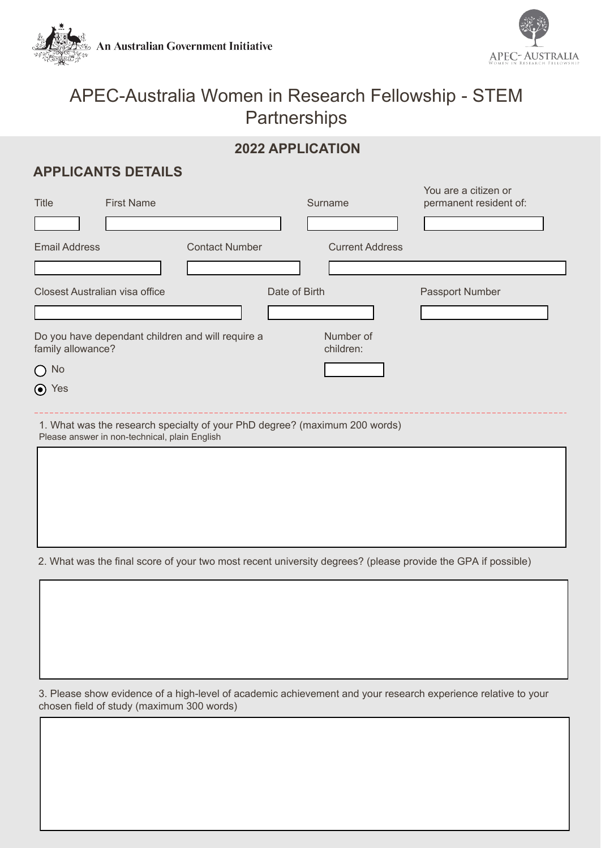



You are a citizen or

# APEC-Australia Women in Research Fellowship - STEM **Partnerships**

# **2022 APPLICATION**

# **APPLICANTS DETAILS**

| <b>Title</b>                                                           | <b>First Name</b>                             |                                                                            |               | Surname                | TOU ALE A CIUZEIT OI<br>permanent resident of: |
|------------------------------------------------------------------------|-----------------------------------------------|----------------------------------------------------------------------------|---------------|------------------------|------------------------------------------------|
| <b>Email Address</b>                                                   |                                               | <b>Contact Number</b>                                                      |               | <b>Current Address</b> |                                                |
|                                                                        | Closest Australian visa office                |                                                                            | Date of Birth |                        | Passport Number                                |
| Do you have dependant children and will require a<br>family allowance? |                                               |                                                                            |               | Number of<br>children: |                                                |
| $\bigcirc$ No                                                          |                                               |                                                                            |               |                        |                                                |
| ⊙ Yes                                                                  |                                               |                                                                            |               |                        |                                                |
|                                                                        | Please answer in non-technical, plain English | 1. What was the research specialty of your PhD degree? (maximum 200 words) |               |                        |                                                |

2. What was the final score of your two most recent university degrees? (please provide the GPA if possible)

3. Please show evidence of a high-level of academic achievement and your research experience relative to your chosen field of study (maximum 300 words)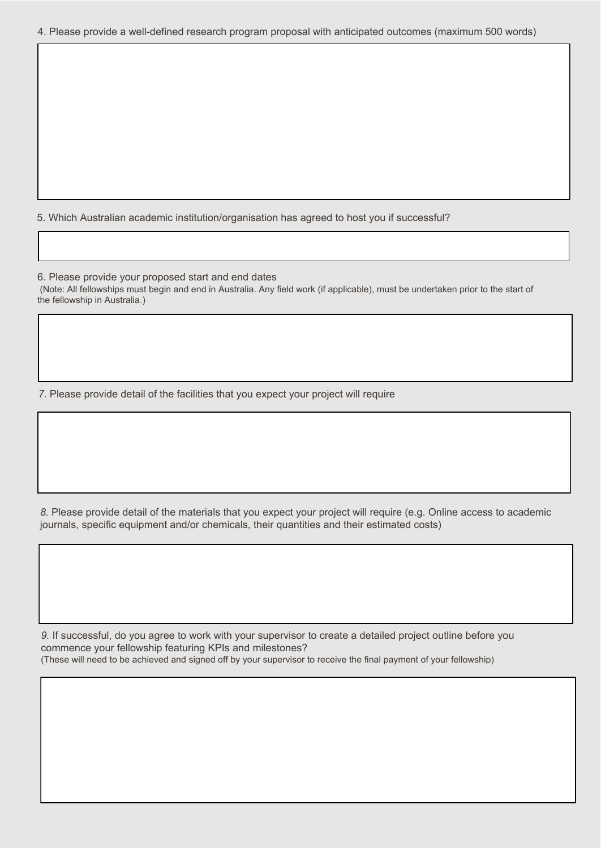#### 4. Please provide a well-defined research program proposal with anticipated outcomes (maximum 500 words)

5. Which Australian academic institution/organisation has agreed to host you if successful?

6. Please provide your proposed start and end dates (Note: All fellowships must begin and end in Australia. Any field work (if applicable), must be undertaken prior to the start of the fellowship in Australia.)

*7.* Please provide detail of the facilities that you expect your project will require

*8.* Please provide detail of the materials that you expect your project will require (e.g. Online access to academic journals, specific equipment and/or chemicals, their quantities and their estimated costs)

*9.* If successful, do you agree to work with your supervisor to create a detailed project outline before you commence your fellowship featuring KPIs and milestones? (These will need to be achieved and signed off by your supervisor to receive the final payment of your fellowship)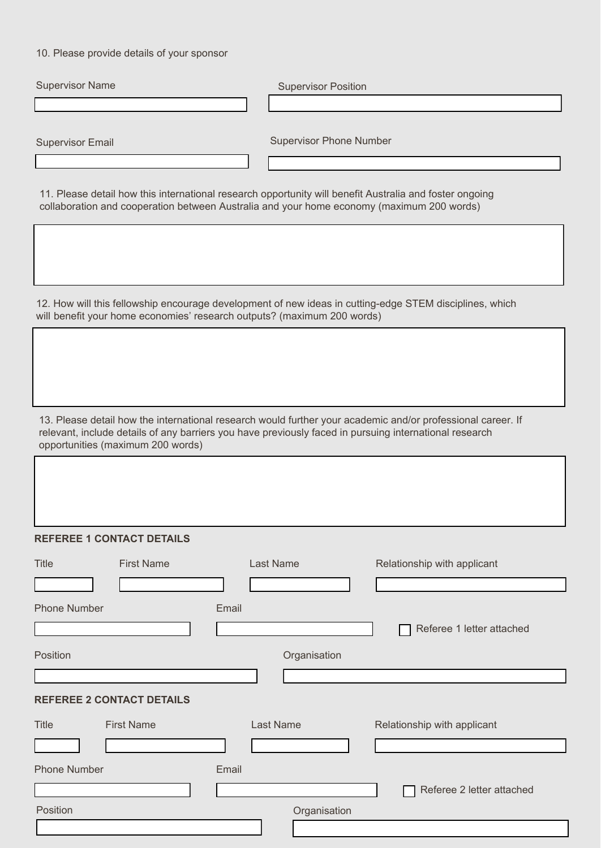10. Please provide details of your sponsor

| <b>Supervisor Name</b>                                                                                                                                                                                                                                     | <b>Supervisor Position</b>                      |  |  |  |  |  |
|------------------------------------------------------------------------------------------------------------------------------------------------------------------------------------------------------------------------------------------------------------|-------------------------------------------------|--|--|--|--|--|
|                                                                                                                                                                                                                                                            |                                                 |  |  |  |  |  |
|                                                                                                                                                                                                                                                            |                                                 |  |  |  |  |  |
| <b>Supervisor Email</b>                                                                                                                                                                                                                                    | <b>Supervisor Phone Number</b>                  |  |  |  |  |  |
|                                                                                                                                                                                                                                                            |                                                 |  |  |  |  |  |
| 11. Please detail how this international research opportunity will benefit Australia and foster ongoing<br>collaboration and cooperation between Australia and your home economy (maximum 200 words)                                                       |                                                 |  |  |  |  |  |
|                                                                                                                                                                                                                                                            |                                                 |  |  |  |  |  |
| 12. How will this fellowship encourage development of new ideas in cutting-edge STEM disciplines, which<br>will benefit your home economies' research outputs? (maximum 200 words)                                                                         |                                                 |  |  |  |  |  |
|                                                                                                                                                                                                                                                            |                                                 |  |  |  |  |  |
| 13. Please detail how the international research would further your academic and/or professional career. If<br>relevant, include details of any barriers you have previously faced in pursuing international research<br>opportunities (maximum 200 words) |                                                 |  |  |  |  |  |
|                                                                                                                                                                                                                                                            |                                                 |  |  |  |  |  |
| <b>REFEREE 1 CONTACT DETAILS</b>                                                                                                                                                                                                                           |                                                 |  |  |  |  |  |
| <b>Title</b><br><b>First Name</b>                                                                                                                                                                                                                          | <b>Last Name</b><br>Relationship with applicant |  |  |  |  |  |
|                                                                                                                                                                                                                                                            |                                                 |  |  |  |  |  |
| <b>Phone Number</b><br>Email                                                                                                                                                                                                                               |                                                 |  |  |  |  |  |
|                                                                                                                                                                                                                                                            | Referee 1 letter attached                       |  |  |  |  |  |
|                                                                                                                                                                                                                                                            |                                                 |  |  |  |  |  |
| Position                                                                                                                                                                                                                                                   | Organisation                                    |  |  |  |  |  |
|                                                                                                                                                                                                                                                            |                                                 |  |  |  |  |  |
| <b>REFEREE 2 CONTACT DETAILS</b>                                                                                                                                                                                                                           |                                                 |  |  |  |  |  |
| <b>First Name</b><br><b>Title</b>                                                                                                                                                                                                                          | <b>Last Name</b><br>Relationship with applicant |  |  |  |  |  |
|                                                                                                                                                                                                                                                            |                                                 |  |  |  |  |  |
| <b>Phone Number</b><br>Email                                                                                                                                                                                                                               |                                                 |  |  |  |  |  |

Referee 2 letter attached

Position **Provides and Contract Contract Contract Contract Contract Contract Contract Contract Contract Contract Contract Contract Contract Contract Contract Contract Contract Contract Contract Contract Contract Contract C**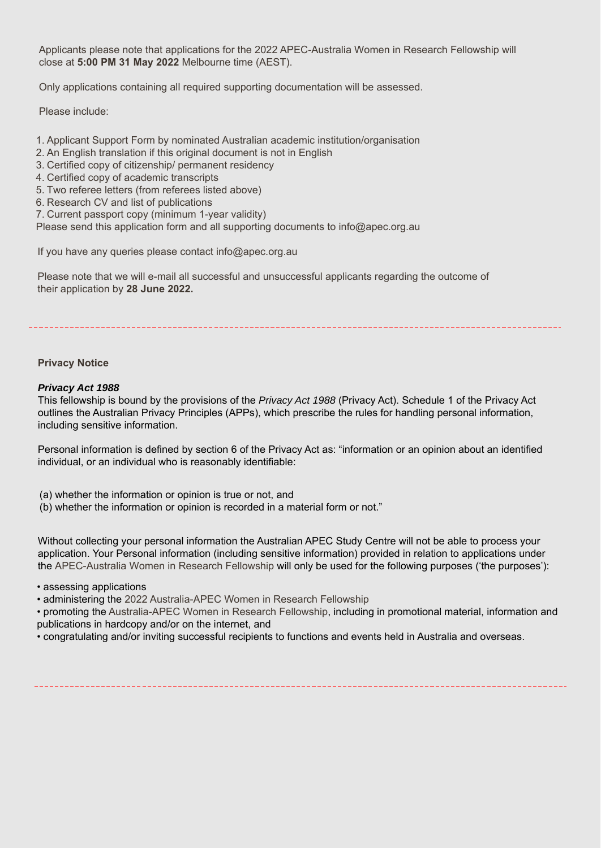Applicants please note that applications for the 2022 APEC-Australia Women in Research Fellowship will close at **5:00 PM 31 May 2022** Melbourne time (AEST).

Only applications containing all required supporting documentation will be assessed.

Please include:

- 1. Applicant Support Form by nominated Australian academic institution/organisation
- 2. An English translation if this original document is not in English
- 3. Certified copy of citizenship/ permanent residency
- 4. Certified copy of academic transcripts
- 5. Two referee letters (from referees listed above)
- 6. Research CV and list of publications
- 7. Current passport copy (minimum 1-year validity)

Please send this application form and all supporting documents to info@apec.org.au

If you have any queries please contact info@apec.org.au

Please note that we will e-mail all successful and unsuccessful applicants regarding the outcome of their application by **28 June 2022.**

### **Privacy Notice**

### *Privacy Act 1988*

This fellowship is bound by the provisions of the *Privacy Act 1988* (Privacy Act). Schedule 1 of the Privacy Act outlines the Australian Privacy Principles (APPs), which prescribe the rules for handling personal information, including sensitive information.

Personal information is defined by section 6 of the Privacy Act as: "information or an opinion about an identified individual, or an individual who is reasonably identifiable:

- (a) whether the information or opinion is true or not, and
- (b) whether the information or opinion is recorded in a material form or not."

Without collecting your personal information the Australian APEC Study Centre will not be able to process your application. Your Personal information (including sensitive information) provided in relation to applications under the APEC-Australia Women in Research Fellowship will only be used for the following purposes ('the purposes'):

#### • assessing applications

• administering the 2022 Australia-APEC Women in Research Fellowship

• promoting the Australia-APEC Women in Research Fellowship, including in promotional material, information and publications in hardcopy and/or on the internet, and

• congratulating and/or inviting successful recipients to functions and events held in Australia and overseas.